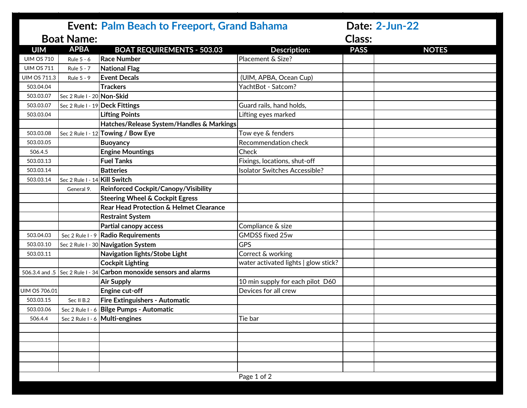|                      |                               | <b>Event: Palm Beach to Freeport, Grand Bahama</b>                  |                                      |               | Date: 2-Jun-22 |
|----------------------|-------------------------------|---------------------------------------------------------------------|--------------------------------------|---------------|----------------|
| <b>Boat Name:</b>    |                               |                                                                     |                                      | <b>Class:</b> |                |
| <b>UIM</b>           | <b>APBA</b>                   | <b>BOAT REQUIREMENTS - 503.03</b>                                   | <b>Description:</b>                  | <b>PASS</b>   | <b>NOTES</b>   |
| <b>UIM OS 710</b>    | Rule 5 - 6                    | <b>Race Number</b>                                                  | Placement & Size?                    |               |                |
| <b>UIM OS 711</b>    | Rule 5 - 7                    | <b>National Flag</b>                                                |                                      |               |                |
| <b>UIM OS 711.3</b>  | Rule 5 - 9                    | <b>Event Decals</b>                                                 | (UIM, APBA, Ocean Cup)               |               |                |
| 503.04.04            |                               | <b>Trackers</b>                                                     | YachtBot - Satcom?                   |               |                |
| 503.03.07            | Sec 2 Rule I - 20 Non-Skid    |                                                                     |                                      |               |                |
| 503.03.07            |                               | Sec 2 Rule I - 19 Deck Fittings                                     | Guard rails, hand holds,             |               |                |
| 503.03.04            |                               | <b>Lifting Points</b>                                               | Lifting eyes marked                  |               |                |
|                      |                               | Hatches/Release System/Handles & Markings                           |                                      |               |                |
| 503.03.08            |                               | Sec 2 Rule I - $12$ Towing / Bow Eye                                | Tow eye & fenders                    |               |                |
| 503.03.05            |                               | <b>Buoyancy</b>                                                     | Recommendation check                 |               |                |
| 506.4.5              |                               | <b>Engine Mountings</b>                                             | Check                                |               |                |
| 503.03.13            |                               | <b>Fuel Tanks</b>                                                   | Fixings, locations, shut-off         |               |                |
| 503.03.14            |                               | <b>Batteries</b>                                                    | <b>Isolator Switches Accessible?</b> |               |                |
| 503.03.14            | Sec 2 Rule I - 14 Kill Switch |                                                                     |                                      |               |                |
|                      | General 9.                    | Reinforced Cockpit/Canopy/Visibility                                |                                      |               |                |
|                      |                               | <b>Steering Wheel &amp; Cockpit Egress</b>                          |                                      |               |                |
|                      |                               | Rear Head Protection & Helmet Clearance                             |                                      |               |                |
|                      |                               | <b>Restraint System</b>                                             |                                      |               |                |
|                      |                               | <b>Partial canopy access</b>                                        | Compliance & size                    |               |                |
| 503.04.03            |                               | Sec 2 Rule I - 9 Radio Requirements                                 | <b>GMDSS fixed 25w</b>               |               |                |
| 503.03.10            |                               | Sec 2 Rule I - 30 Navigation System                                 | <b>GPS</b>                           |               |                |
| 503.03.11            |                               | Navigation lights/Stobe Light                                       | Correct & working                    |               |                |
|                      |                               | <b>Cockpit Lighting</b>                                             | water activated lights   glow stick? |               |                |
|                      |                               | 506.3.4 and .5 Sec 2 Rule I - 34 Carbon monoxide sensors and alarms |                                      |               |                |
|                      |                               | <b>Air Supply</b>                                                   | 10 min supply for each pilot D60     |               |                |
| <b>UIM OS 706.01</b> |                               | Engine cut-off                                                      | Devices for all crew                 |               |                |
| 503.03.15            | Sec II B.2                    | Fire Extinguishers - Automatic                                      |                                      |               |                |
| 503.03.06            |                               | Sec 2 Rule I - 6 Bilge Pumps - Automatic                            |                                      |               |                |
| 506.4.4              |                               | Sec 2 Rule $1 - 6$ Multi-engines                                    | Tie bar                              |               |                |
|                      |                               |                                                                     |                                      |               |                |
|                      |                               |                                                                     |                                      |               |                |
|                      |                               |                                                                     |                                      |               |                |
|                      |                               |                                                                     |                                      |               |                |
|                      |                               |                                                                     |                                      |               |                |
|                      |                               |                                                                     | Page 1 of 2                          |               |                |
|                      |                               |                                                                     |                                      |               |                |
|                      |                               |                                                                     |                                      |               |                |